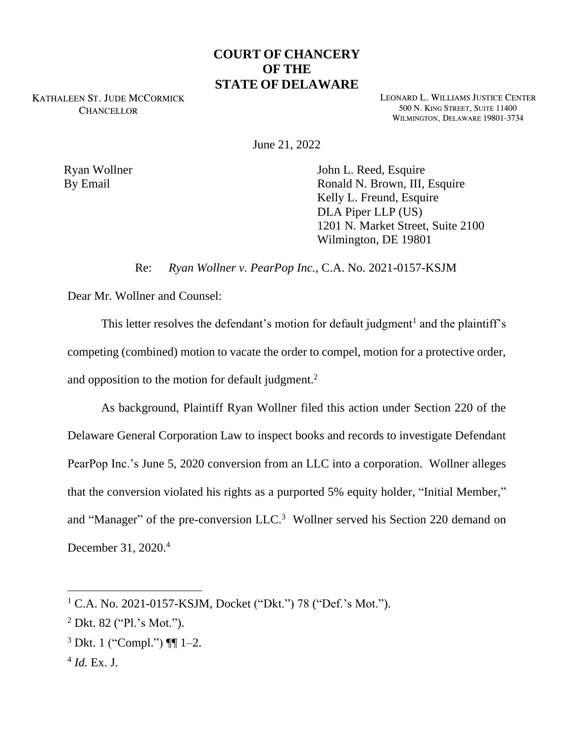## **COURT OF CHANCERY OF THE STATE OF DELAWARE**

KATHALEEN ST. JUDE MCCORMICK **CHANCELLOR** 

LEONARD L. WILLIAMS JUSTICE CENTER 500 N. KING STREET, SUITE 11400 WILMINGTON, DELAWARE 19801-3734

June 21, 2022

Ryan Wollner By Email

John L. Reed, Esquire Ronald N. Brown, III, Esquire Kelly L. Freund, Esquire DLA Piper LLP (US) 1201 N. Market Street, Suite 2100 Wilmington, DE 19801

Re: *Ryan Wollner v. PearPop Inc.*, C.A. No. 2021-0157-KSJM

Dear Mr. Wollner and Counsel:

This letter resolves the defendant's motion for default judgment<sup>1</sup> and the plaintiff's competing (combined) motion to vacate the order to compel, motion for a protective order, and opposition to the motion for default judgment. $2$ 

As background, Plaintiff Ryan Wollner filed this action under Section 220 of the Delaware General Corporation Law to inspect books and records to investigate Defendant PearPop Inc.'s June 5, 2020 conversion from an LLC into a corporation. Wollner alleges that the conversion violated his rights as a purported 5% equity holder, "Initial Member," and "Manager" of the pre-conversion LLC.<sup>3</sup> Wollner served his Section 220 demand on December 31, 2020.<sup>4</sup>

 $1$  C.A. No. 2021-0157-KSJM, Docket ("Dkt.") 78 ("Def.'s Mot.").

 $2$  Dkt. 82 ("Pl.'s Mot.").

 $3$  Dkt. 1 ("Compl.")  $\P$  1–2.

<sup>4</sup> *Id.* Ex. J.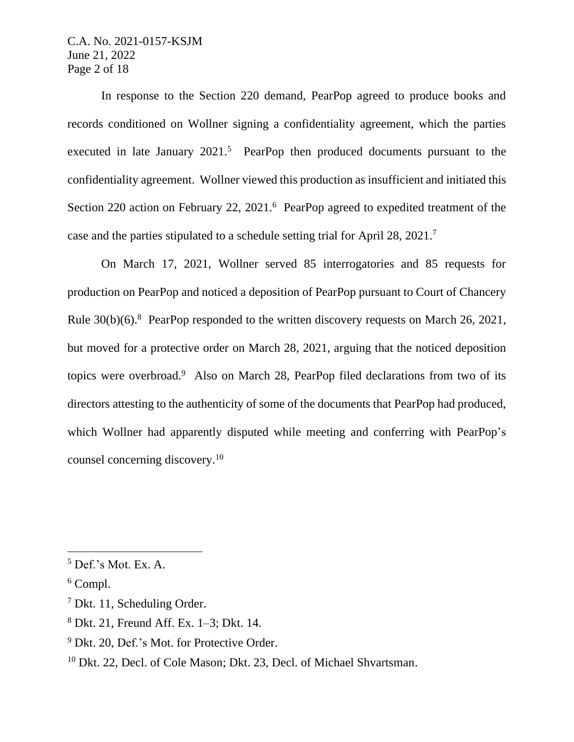C.A. No. 2021-0157-KSJM June 21, 2022 Page 2 of 18

In response to the Section 220 demand, PearPop agreed to produce books and records conditioned on Wollner signing a confidentiality agreement, which the parties executed in late January 2021.<sup>5</sup> PearPop then produced documents pursuant to the confidentiality agreement. Wollner viewed this production as insufficient and initiated this Section 220 action on February 22, 2021.<sup>6</sup> PearPop agreed to expedited treatment of the case and the parties stipulated to a schedule setting trial for April 28, 2021.<sup>7</sup>

On March 17, 2021, Wollner served 85 interrogatories and 85 requests for production on PearPop and noticed a deposition of PearPop pursuant to Court of Chancery Rule 30(b)(6).<sup>8</sup> PearPop responded to the written discovery requests on March 26, 2021, but moved for a protective order on March 28, 2021, arguing that the noticed deposition topics were overbroad.<sup>9</sup> Also on March 28, PearPop filed declarations from two of its directors attesting to the authenticity of some of the documents that PearPop had produced, which Wollner had apparently disputed while meeting and conferring with PearPop's counsel concerning discovery.<sup>10</sup>

 $5$  Def.'s Mot. Ex. A.

 $6$  Compl.

<sup>7</sup> Dkt. 11, Scheduling Order.

<sup>8</sup> Dkt. 21, Freund Aff. Ex. 1–3; Dkt. 14.

<sup>&</sup>lt;sup>9</sup> Dkt. 20, Def.'s Mot. for Protective Order.

<sup>&</sup>lt;sup>10</sup> Dkt. 22, Decl. of Cole Mason; Dkt. 23, Decl. of Michael Shvartsman.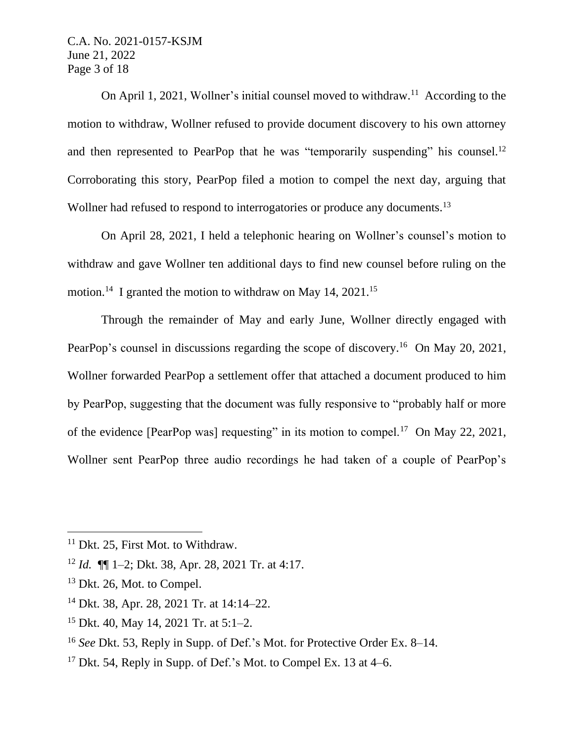C.A. No. 2021-0157-KSJM June 21, 2022 Page 3 of 18

On April 1, 2021, Wollner's initial counsel moved to withdraw.<sup>11</sup> According to the motion to withdraw, Wollner refused to provide document discovery to his own attorney and then represented to PearPop that he was "temporarily suspending" his counsel.<sup>12</sup> Corroborating this story, PearPop filed a motion to compel the next day, arguing that Wollner had refused to respond to interrogatories or produce any documents.<sup>13</sup>

On April 28, 2021, I held a telephonic hearing on Wollner's counsel's motion to withdraw and gave Wollner ten additional days to find new counsel before ruling on the motion.<sup>14</sup> I granted the motion to withdraw on May 14, 2021.<sup>15</sup>

Through the remainder of May and early June, Wollner directly engaged with PearPop's counsel in discussions regarding the scope of discovery.<sup>16</sup> On May 20, 2021, Wollner forwarded PearPop a settlement offer that attached a document produced to him by PearPop, suggesting that the document was fully responsive to "probably half or more of the evidence [PearPop was] requesting" in its motion to compel.<sup>17</sup> On May 22, 2021, Wollner sent PearPop three audio recordings he had taken of a couple of PearPop's

<sup>15</sup> Dkt. 40, May 14, 2021 Tr. at 5:1–2.

<sup>&</sup>lt;sup>11</sup> Dkt. 25, First Mot. to Withdraw.

<sup>12</sup> *Id.* ¶¶ 1–2; Dkt. 38, Apr. 28, 2021 Tr. at 4:17.

<sup>&</sup>lt;sup>13</sup> Dkt. 26, Mot. to Compel.

<sup>14</sup> Dkt. 38, Apr. 28, 2021 Tr. at 14:14–22.

<sup>16</sup> *See* Dkt. 53, Reply in Supp. of Def.'s Mot. for Protective Order Ex. 8–14.

<sup>&</sup>lt;sup>17</sup> Dkt. 54, Reply in Supp. of Def.'s Mot. to Compel Ex. 13 at  $4-6$ .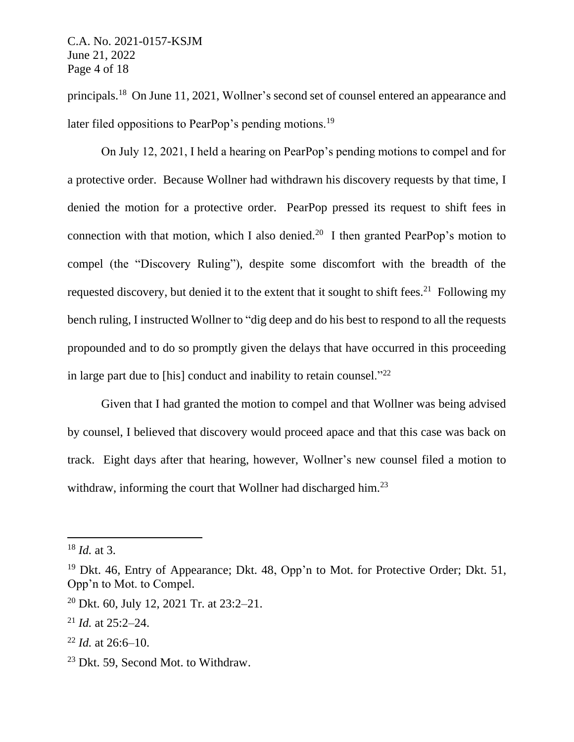principals.<sup>18</sup> On June 11, 2021, Wollner's second set of counsel entered an appearance and later filed oppositions to PearPop's pending motions.<sup>19</sup>

On July 12, 2021, I held a hearing on PearPop's pending motions to compel and for a protective order. Because Wollner had withdrawn his discovery requests by that time, I denied the motion for a protective order. PearPop pressed its request to shift fees in connection with that motion, which I also denied.<sup>20</sup> I then granted PearPop's motion to compel (the "Discovery Ruling"), despite some discomfort with the breadth of the requested discovery, but denied it to the extent that it sought to shift fees.<sup>21</sup> Following my bench ruling, I instructed Wollner to "dig deep and do his best to respond to all the requests propounded and to do so promptly given the delays that have occurred in this proceeding in large part due to [his] conduct and inability to retain counsel."<sup>22</sup>

Given that I had granted the motion to compel and that Wollner was being advised by counsel, I believed that discovery would proceed apace and that this case was back on track. Eight days after that hearing, however, Wollner's new counsel filed a motion to withdraw, informing the court that Wollner had discharged him.<sup>23</sup>

<sup>18</sup> *Id.* at 3.

 $19$  Dkt. 46, Entry of Appearance; Dkt. 48, Opp'n to Mot. for Protective Order; Dkt. 51, Opp'n to Mot. to Compel.

<sup>20</sup> Dkt. 60, July 12, 2021 Tr. at 23:2–21.

<sup>21</sup> *Id.* at 25:2–24.

 $^{22}$  *Id.* at 26:6–10.

<sup>&</sup>lt;sup>23</sup> Dkt. 59, Second Mot. to Withdraw.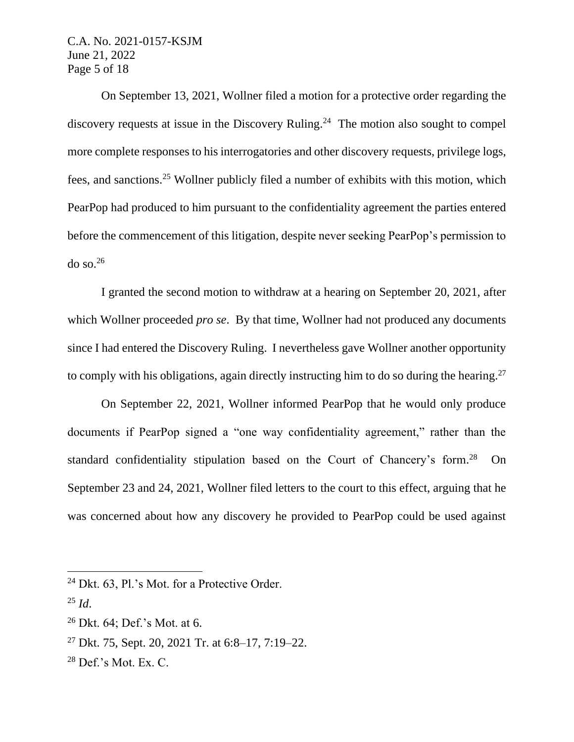C.A. No. 2021-0157-KSJM June 21, 2022 Page 5 of 18

On September 13, 2021, Wollner filed a motion for a protective order regarding the discovery requests at issue in the Discovery Ruling.<sup>24</sup> The motion also sought to compel more complete responses to his interrogatories and other discovery requests, privilege logs, fees, and sanctions.<sup>25</sup> Wollner publicly filed a number of exhibits with this motion, which PearPop had produced to him pursuant to the confidentiality agreement the parties entered before the commencement of this litigation, despite never seeking PearPop's permission to do so. $26$ 

I granted the second motion to withdraw at a hearing on September 20, 2021, after which Wollner proceeded *pro se*. By that time, Wollner had not produced any documents since I had entered the Discovery Ruling. I nevertheless gave Wollner another opportunity to comply with his obligations, again directly instructing him to do so during the hearing.<sup>27</sup>

On September 22, 2021, Wollner informed PearPop that he would only produce documents if PearPop signed a "one way confidentiality agreement," rather than the standard confidentiality stipulation based on the Court of Chancery's form.<sup>28</sup> On September 23 and 24, 2021, Wollner filed letters to the court to this effect, arguing that he was concerned about how any discovery he provided to PearPop could be used against

<sup>&</sup>lt;sup>24</sup> Dkt. 63, Pl.'s Mot. for a Protective Order.

 $^{25}$  *Id.* 

 $26$  Dkt. 64; Def.'s Mot. at 6.

<sup>&</sup>lt;sup>27</sup> Dkt. 75, Sept. 20, 2021 Tr. at  $6:8-17$ ,  $7:19-22$ .

 $28$  Def.'s Mot. Ex. C.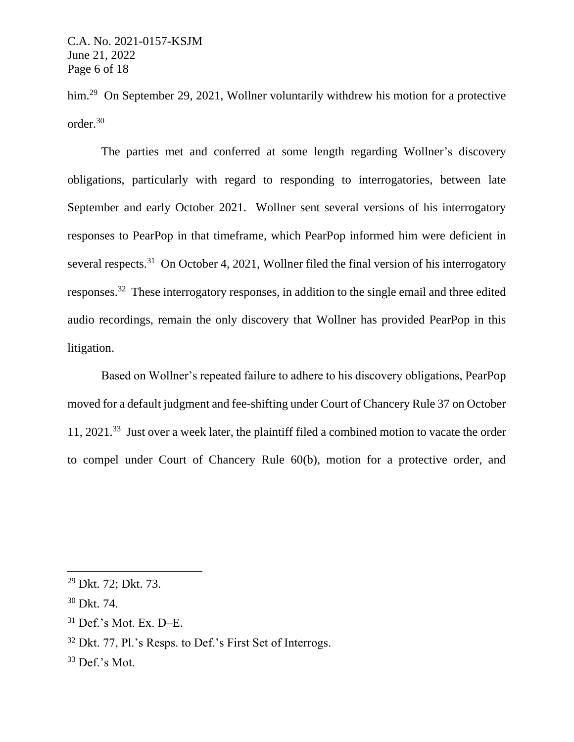him.<sup>29</sup> On September 29, 2021, Wollner voluntarily withdrew his motion for a protective order.<sup>30</sup>

The parties met and conferred at some length regarding Wollner's discovery obligations, particularly with regard to responding to interrogatories, between late September and early October 2021. Wollner sent several versions of his interrogatory responses to PearPop in that timeframe, which PearPop informed him were deficient in several respects.<sup>31</sup> On October 4, 2021, Wollner filed the final version of his interrogatory responses.<sup>32</sup> These interrogatory responses, in addition to the single email and three edited audio recordings, remain the only discovery that Wollner has provided PearPop in this litigation.

Based on Wollner's repeated failure to adhere to his discovery obligations, PearPop moved for a default judgment and fee-shifting under Court of Chancery Rule 37 on October 11, 2021. 33 Just over a week later, the plaintiff filed a combined motion to vacate the order to compel under Court of Chancery Rule 60(b), motion for a protective order, and

<sup>29</sup> Dkt. 72; Dkt. 73.

<sup>30</sup> Dkt. 74.

 $31$  Def.'s Mot. Ex. D–E.

<sup>32</sup> Dkt. 77, Pl.'s Resps. to Def.'s First Set of Interrogs.

 $33$  Def.'s Mot.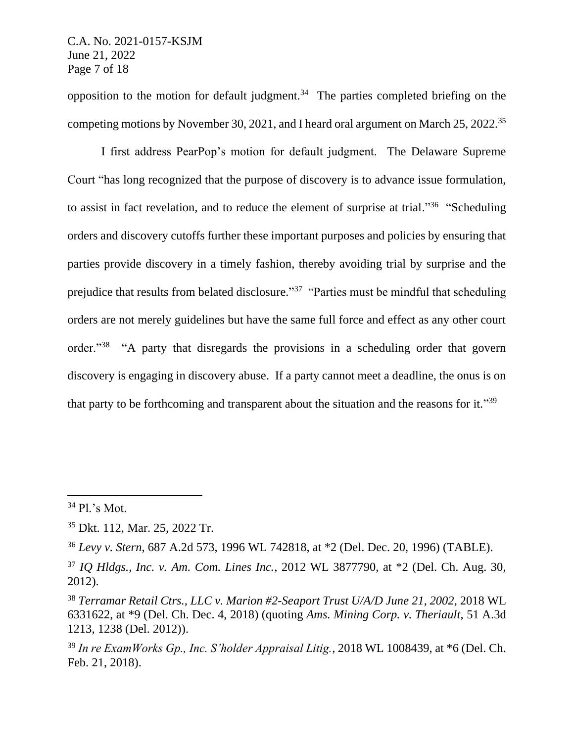opposition to the motion for default judgment.<sup>34</sup> The parties completed briefing on the competing motions by November 30, 2021, and I heard oral argument on March 25, 2022.<sup>35</sup>

I first address PearPop's motion for default judgment. The Delaware Supreme Court "has long recognized that the purpose of discovery is to advance issue formulation, to assist in fact revelation, and to reduce the element of surprise at trial."<sup>36</sup> "Scheduling orders and discovery cutoffs further these important purposes and policies by ensuring that parties provide discovery in a timely fashion, thereby avoiding trial by surprise and the prejudice that results from belated disclosure."<sup>37</sup> "Parties must be mindful that scheduling orders are not merely guidelines but have the same full force and effect as any other court order."<sup>38</sup> "A party that disregards the provisions in a scheduling order that govern discovery is engaging in discovery abuse. If a party cannot meet a deadline, the onus is on that party to be forthcoming and transparent about the situation and the reasons for it."39

<sup>34</sup> Pl.'s Mot.

<sup>35</sup> Dkt. 112, Mar. 25, 2022 Tr.

<sup>36</sup> *Levy v. Stern*, 687 A.2d 573, 1996 WL 742818, at \*2 (Del. Dec. 20, 1996) (TABLE).

<sup>37</sup> *IQ Hldgs., Inc. v. Am. Com. Lines Inc.*, 2012 WL 3877790, at \*2 (Del. Ch. Aug. 30, 2012).

<sup>38</sup> *Terramar Retail Ctrs., LLC v. Marion #2-Seaport Trust U/A/D June 21, 2002*, 2018 WL 6331622, at \*9 (Del. Ch. Dec. 4, 2018) (quoting *Ams. Mining Corp. v. Theriault*, 51 A.3d 1213, 1238 (Del. 2012)).

<sup>39</sup> *In re ExamWorks Gp., Inc. S'holder Appraisal Litig.*, 2018 WL 1008439, at \*6 (Del. Ch. Feb. 21, 2018).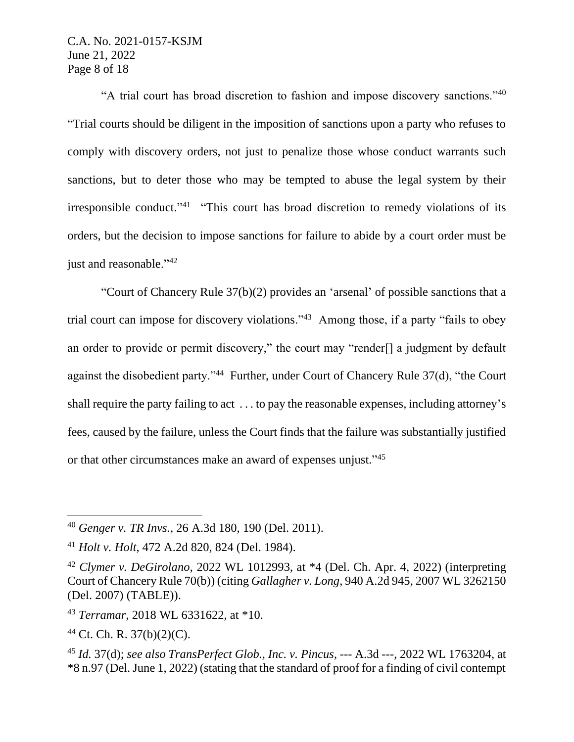## C.A. No. 2021-0157-KSJM June 21, 2022 Page 8 of 18

"A trial court has broad discretion to fashion and impose discovery sanctions."<sup>40</sup> "Trial courts should be diligent in the imposition of sanctions upon a party who refuses to comply with discovery orders, not just to penalize those whose conduct warrants such sanctions, but to deter those who may be tempted to abuse the legal system by their irresponsible conduct."<sup>41</sup> "This court has broad discretion to remedy violations of its orders, but the decision to impose sanctions for failure to abide by a court order must be just and reasonable."<sup>42</sup>

"Court of Chancery Rule 37(b)(2) provides an 'arsenal' of possible sanctions that a trial court can impose for discovery violations."<sup>43</sup> Among those, if a party "fails to obey an order to provide or permit discovery," the court may "render[] a judgment by default against the disobedient party."<sup>44</sup> Further, under Court of Chancery Rule 37(d), "the Court shall require the party failing to act . . . to pay the reasonable expenses, including attorney's fees, caused by the failure, unless the Court finds that the failure was substantially justified or that other circumstances make an award of expenses unjust."<sup>45</sup>

<sup>40</sup> *Genger v. TR Invs.*, 26 A.3d 180, 190 (Del. 2011).

<sup>41</sup> *Holt v. Holt*, 472 A.2d 820, 824 (Del. 1984).

<sup>42</sup> *Clymer v. DeGirolano*, 2022 WL 1012993, at \*4 (Del. Ch. Apr. 4, 2022) (interpreting Court of Chancery Rule 70(b)) (citing *Gallagher v. Long*, 940 A.2d 945, 2007 WL 3262150 (Del. 2007) (TABLE)).

<sup>43</sup> *Terramar*, 2018 WL 6331622, at \*10.

<sup>44</sup> Ct. Ch. R. 37(b)(2)(C).

<sup>45</sup> *Id.* 37(d); *see also TransPerfect Glob., Inc. v. Pincus*, --- A.3d ---, 2022 WL 1763204, at \*8 n.97 (Del. June 1, 2022) (stating that the standard of proof for a finding of civil contempt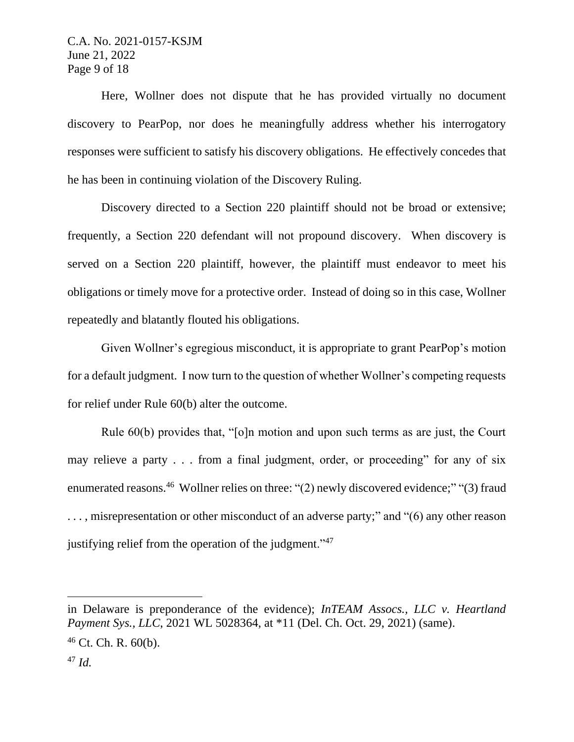Here, Wollner does not dispute that he has provided virtually no document discovery to PearPop, nor does he meaningfully address whether his interrogatory responses were sufficient to satisfy his discovery obligations. He effectively concedes that he has been in continuing violation of the Discovery Ruling.

Discovery directed to a Section 220 plaintiff should not be broad or extensive; frequently, a Section 220 defendant will not propound discovery. When discovery is served on a Section 220 plaintiff, however, the plaintiff must endeavor to meet his obligations or timely move for a protective order. Instead of doing so in this case, Wollner repeatedly and blatantly flouted his obligations.

Given Wollner's egregious misconduct, it is appropriate to grant PearPop's motion for a default judgment. I now turn to the question of whether Wollner's competing requests for relief under Rule 60(b) alter the outcome.

Rule 60(b) provides that, "[o]n motion and upon such terms as are just, the Court may relieve a party . . . from a final judgment, order, or proceeding" for any of six enumerated reasons.<sup>46</sup> Wollner relies on three: "(2) newly discovered evidence;" "(3) fraud ..., misrepresentation or other misconduct of an adverse party;" and "(6) any other reason justifying relief from the operation of the judgment."<sup>47</sup>

in Delaware is preponderance of the evidence); *InTEAM Assocs., LLC v. Heartland Payment Sys., LLC*, 2021 WL 5028364, at \*11 (Del. Ch. Oct. 29, 2021) (same).  $46$  Ct. Ch. R.  $60(b)$ . <sup>47</sup> *Id.*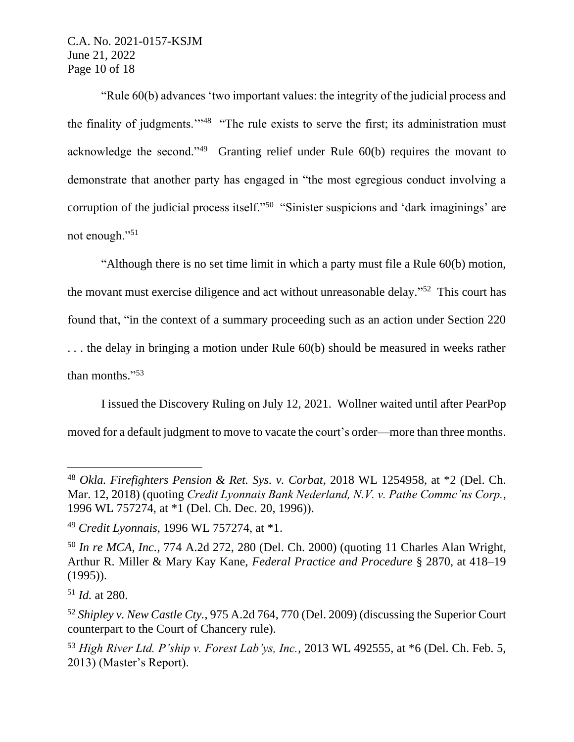"Rule 60(b) advances 'two important values: the integrity of the judicial process and the finality of judgments."<sup>48</sup> "The rule exists to serve the first; its administration must acknowledge the second." $49$  Granting relief under Rule  $60(b)$  requires the movant to demonstrate that another party has engaged in "the most egregious conduct involving a corruption of the judicial process itself."<sup>50</sup> "Sinister suspicions and 'dark imaginings' are not enough."<sup>51</sup>

"Although there is no set time limit in which a party must file a Rule 60(b) motion, the movant must exercise diligence and act without unreasonable delay."<sup>52</sup> This court has found that, "in the context of a summary proceeding such as an action under Section 220 . . . the delay in bringing a motion under Rule 60(b) should be measured in weeks rather than months." 53

I issued the Discovery Ruling on July 12, 2021. Wollner waited until after PearPop moved for a default judgment to move to vacate the court's order—more than three months.

<sup>48</sup> *Okla. Firefighters Pension & Ret. Sys. v. Corbat*, 2018 WL 1254958, at \*2 (Del. Ch. Mar. 12, 2018) (quoting *Credit Lyonnais Bank Nederland, N.V. v. Pathe Commc'ns Corp.*, 1996 WL 757274, at \*1 (Del. Ch. Dec. 20, 1996)).

<sup>49</sup> *Credit Lyonnais*, 1996 WL 757274, at \*1.

<sup>50</sup> *In re MCA, Inc.*, 774 A.2d 272, 280 (Del. Ch. 2000) (quoting 11 Charles Alan Wright, Arthur R. Miller & Mary Kay Kane, *Federal Practice and Procedure* § 2870, at 418–19 (1995)).

<sup>51</sup> *Id.* at 280.

<sup>52</sup> *Shipley v. New Castle Cty.*, 975 A.2d 764, 770 (Del. 2009) (discussing the Superior Court counterpart to the Court of Chancery rule).

<sup>53</sup> *High River Ltd. P'ship v. Forest Lab'ys, Inc.*, 2013 WL 492555, at \*6 (Del. Ch. Feb. 5, 2013) (Master's Report).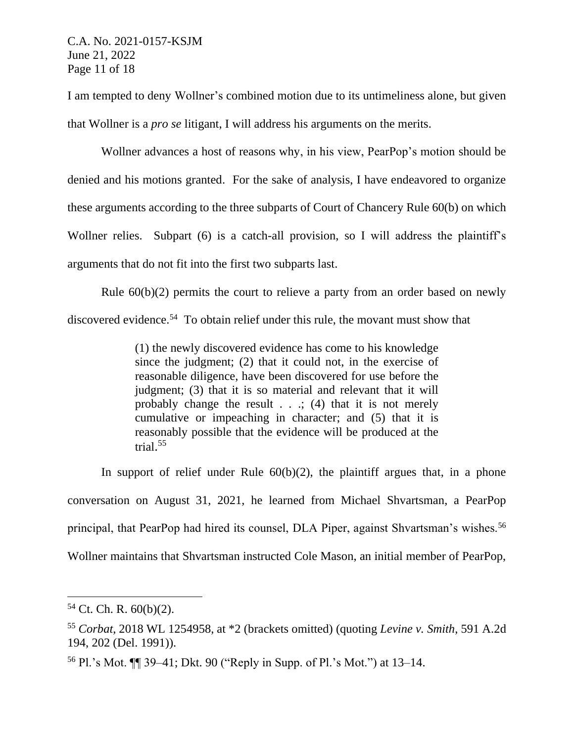I am tempted to deny Wollner's combined motion due to its untimeliness alone, but given that Wollner is a *pro se* litigant, I will address his arguments on the merits.

Wollner advances a host of reasons why, in his view, PearPop's motion should be denied and his motions granted. For the sake of analysis, I have endeavored to organize these arguments according to the three subparts of Court of Chancery Rule 60(b) on which Wollner relies. Subpart (6) is a catch-all provision, so I will address the plaintiff's arguments that do not fit into the first two subparts last.

Rule 60(b)(2) permits the court to relieve a party from an order based on newly discovered evidence.<sup>54</sup> To obtain relief under this rule, the movant must show that

> (1) the newly discovered evidence has come to his knowledge since the judgment; (2) that it could not, in the exercise of reasonable diligence, have been discovered for use before the judgment; (3) that it is so material and relevant that it will probably change the result . . .; (4) that it is not merely cumulative or impeaching in character; and (5) that it is reasonably possible that the evidence will be produced at the trial. 55

In support of relief under Rule  $60(b)(2)$ , the plaintiff argues that, in a phone conversation on August 31, 2021, he learned from Michael Shvartsman, a PearPop principal, that PearPop had hired its counsel, DLA Piper, against Shvartsman's wishes.<sup>56</sup> Wollner maintains that Shvartsman instructed Cole Mason, an initial member of PearPop,

 $54$  Ct. Ch. R.  $60(b)(2)$ .

<sup>55</sup> *Corbat*, 2018 WL 1254958, at \*2 (brackets omitted) (quoting *Levine v. Smith*, 591 A.2d 194, 202 (Del. 1991)).

<sup>56</sup> Pl.'s Mot. ¶¶ 39–41; Dkt. 90 ("Reply in Supp. of Pl.'s Mot.") at 13–14.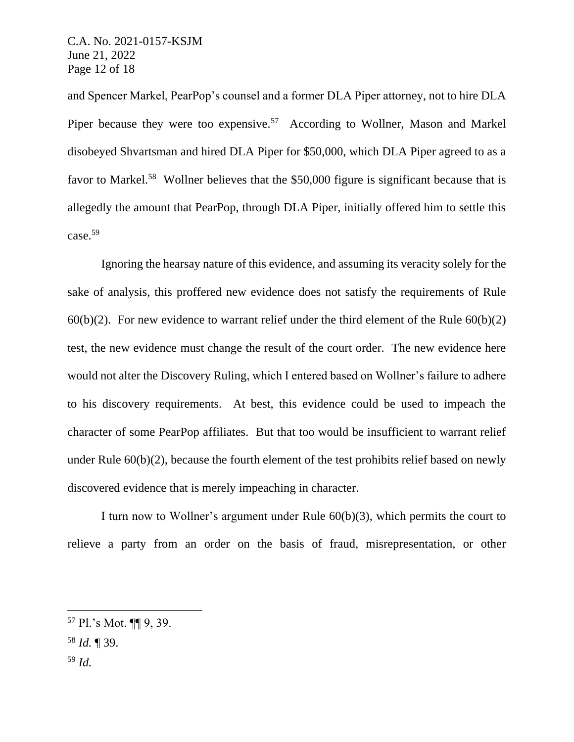and Spencer Markel, PearPop's counsel and a former DLA Piper attorney, not to hire DLA Piper because they were too expensive.<sup>57</sup> According to Wollner, Mason and Markel disobeyed Shvartsman and hired DLA Piper for \$50,000, which DLA Piper agreed to as a favor to Markel.<sup>58</sup> Wollner believes that the \$50,000 figure is significant because that is allegedly the amount that PearPop, through DLA Piper, initially offered him to settle this case.<sup>59</sup>

Ignoring the hearsay nature of this evidence, and assuming its veracity solely for the sake of analysis, this proffered new evidence does not satisfy the requirements of Rule  $60(b)(2)$ . For new evidence to warrant relief under the third element of the Rule  $60(b)(2)$ test, the new evidence must change the result of the court order. The new evidence here would not alter the Discovery Ruling, which I entered based on Wollner's failure to adhere to his discovery requirements. At best, this evidence could be used to impeach the character of some PearPop affiliates. But that too would be insufficient to warrant relief under Rule 60(b)(2), because the fourth element of the test prohibits relief based on newly discovered evidence that is merely impeaching in character.

I turn now to Wollner's argument under Rule 60(b)(3), which permits the court to relieve a party from an order on the basis of fraud, misrepresentation, or other

<sup>57</sup> Pl.'s Mot. ¶¶ 9, 39.

<sup>58</sup> *Id.* ¶ 39.

<sup>59</sup> *Id.*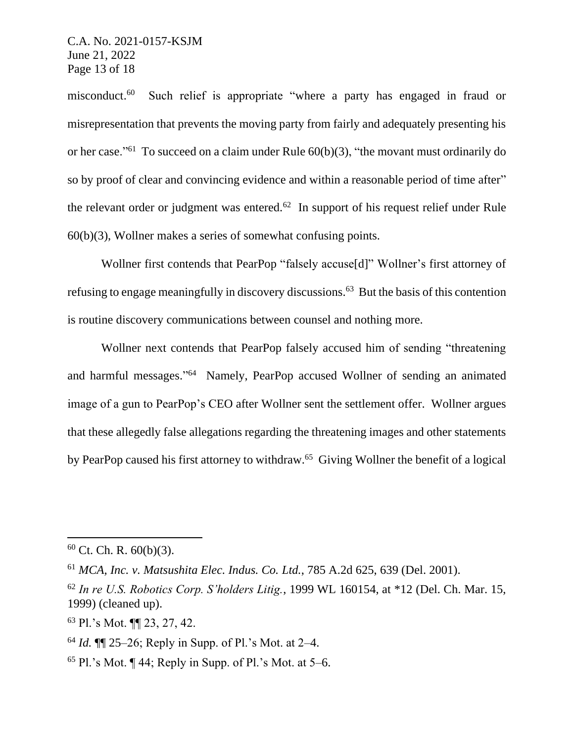misconduct.<sup>60</sup> Such relief is appropriate "where a party has engaged in fraud or misrepresentation that prevents the moving party from fairly and adequately presenting his or her case."<sup>61</sup> To succeed on a claim under Rule  $60(b)(3)$ , "the movant must ordinarily do so by proof of clear and convincing evidence and within a reasonable period of time after" the relevant order or judgment was entered. $62$  In support of his request relief under Rule 60(b)(3), Wollner makes a series of somewhat confusing points.

Wollner first contends that PearPop "falsely accuse[d]" Wollner's first attorney of refusing to engage meaningfully in discovery discussions. <sup>63</sup> But the basis of this contention is routine discovery communications between counsel and nothing more.

Wollner next contends that PearPop falsely accused him of sending "threatening and harmful messages." 64 Namely, PearPop accused Wollner of sending an animated image of a gun to PearPop's CEO after Wollner sent the settlement offer. Wollner argues that these allegedly false allegations regarding the threatening images and other statements by PearPop caused his first attorney to withdraw.<sup>65</sup> Giving Wollner the benefit of a logical

 $60$  Ct. Ch. R.  $60(b)(3)$ .

<sup>61</sup> *MCA, Inc. v. Matsushita Elec. Indus. Co. Ltd.*, 785 A.2d 625, 639 (Del. 2001).

<sup>62</sup> *In re U.S. Robotics Corp. S'holders Litig.*, 1999 WL 160154, at \*12 (Del. Ch. Mar. 15, 1999) (cleaned up).

<sup>63</sup> Pl.'s Mot. ¶¶ 23, 27, 42.

<sup>64</sup> *Id.* ¶¶ 25–26; Reply in Supp. of Pl.'s Mot. at 2–4.

<sup>&</sup>lt;sup>65</sup> Pl.'s Mot.  $\P$  44; Reply in Supp. of Pl.'s Mot. at 5–6.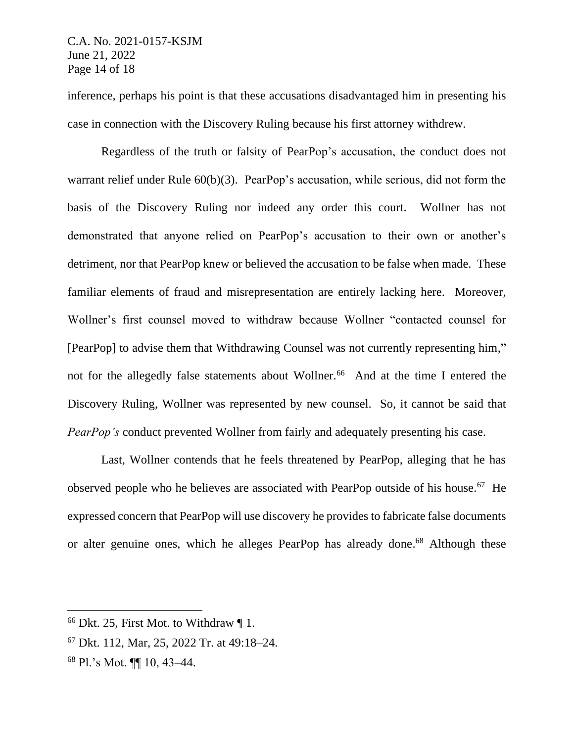inference, perhaps his point is that these accusations disadvantaged him in presenting his case in connection with the Discovery Ruling because his first attorney withdrew.

Regardless of the truth or falsity of PearPop's accusation, the conduct does not warrant relief under Rule 60(b)(3). PearPop's accusation, while serious, did not form the basis of the Discovery Ruling nor indeed any order this court. Wollner has not demonstrated that anyone relied on PearPop's accusation to their own or another's detriment, nor that PearPop knew or believed the accusation to be false when made. These familiar elements of fraud and misrepresentation are entirely lacking here. Moreover, Wollner's first counsel moved to withdraw because Wollner "contacted counsel for [PearPop] to advise them that Withdrawing Counsel was not currently representing him," not for the allegedly false statements about Wollner.<sup>66</sup> And at the time I entered the Discovery Ruling, Wollner was represented by new counsel. So, it cannot be said that *PearPop's* conduct prevented Wollner from fairly and adequately presenting his case.

Last, Wollner contends that he feels threatened by PearPop, alleging that he has observed people who he believes are associated with PearPop outside of his house.<sup>67</sup> He expressed concern that PearPop will use discovery he provides to fabricate false documents or alter genuine ones, which he alleges PearPop has already done.<sup>68</sup> Although these

<sup>68</sup> Pl.'s Mot. ¶¶ 10, 43–44.

 $66$  Dkt. 25, First Mot. to Withdraw  $\P$  1.

<sup>67</sup> Dkt. 112, Mar, 25, 2022 Tr. at 49:18–24.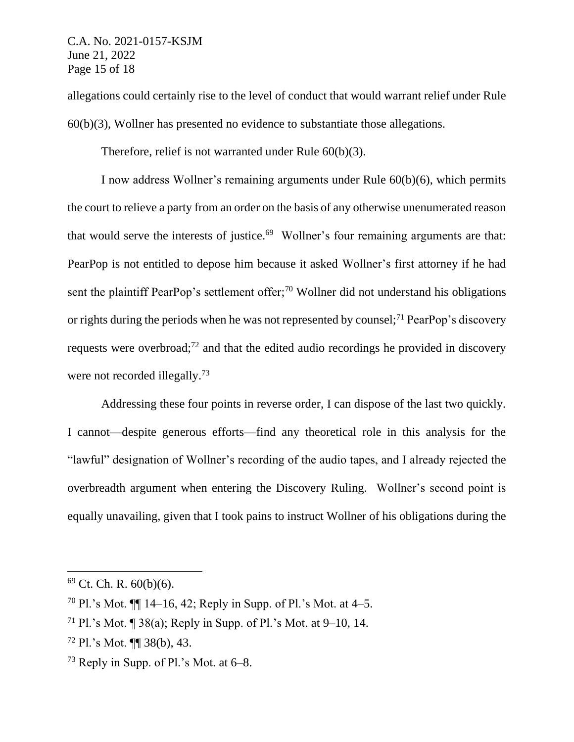allegations could certainly rise to the level of conduct that would warrant relief under Rule 60(b)(3), Wollner has presented no evidence to substantiate those allegations.

Therefore, relief is not warranted under Rule 60(b)(3).

I now address Wollner's remaining arguments under Rule 60(b)(6), which permits the court to relieve a party from an order on the basis of any otherwise unenumerated reason that would serve the interests of justice.<sup>69</sup> Wollner's four remaining arguments are that: PearPop is not entitled to depose him because it asked Wollner's first attorney if he had sent the plaintiff PearPop's settlement offer;<sup>70</sup> Wollner did not understand his obligations or rights during the periods when he was not represented by counsel;<sup>71</sup> PearPop's discovery requests were overbroad;<sup>72</sup> and that the edited audio recordings he provided in discovery were not recorded illegally.<sup>73</sup>

Addressing these four points in reverse order, I can dispose of the last two quickly. I cannot—despite generous efforts—find any theoretical role in this analysis for the "lawful" designation of Wollner's recording of the audio tapes, and I already rejected the overbreadth argument when entering the Discovery Ruling. Wollner's second point is equally unavailing, given that I took pains to instruct Wollner of his obligations during the

 $69$  Ct. Ch. R.  $60(b)(6)$ .

<sup>&</sup>lt;sup>70</sup> Pl.'s Mot.  $\P$  14–16, 42; Reply in Supp. of Pl.'s Mot. at 4–5.

<sup>&</sup>lt;sup>71</sup> Pl.'s Mot.  $\P$  38(a); Reply in Supp. of Pl.'s Mot. at 9–10, 14.

<sup>72</sup> Pl.'s Mot. ¶¶ 38(b), 43.

<sup>73</sup> Reply in Supp. of Pl.'s Mot. at 6–8.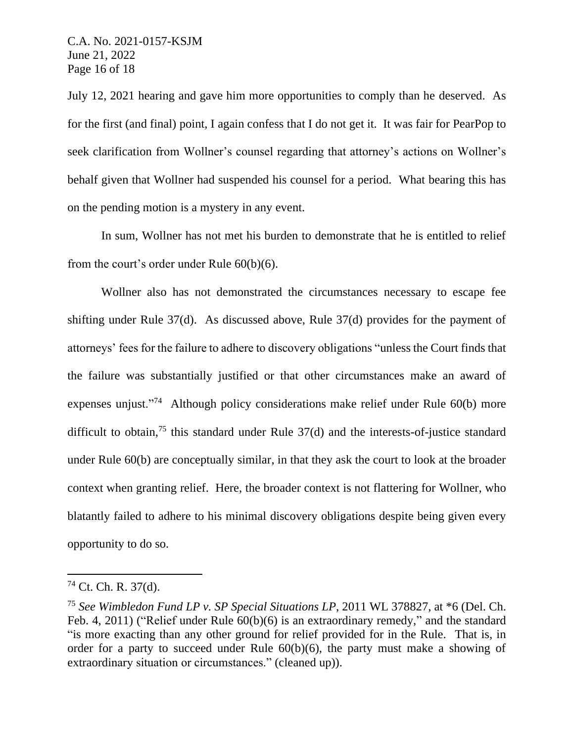July 12, 2021 hearing and gave him more opportunities to comply than he deserved. As for the first (and final) point, I again confess that I do not get it. It was fair for PearPop to seek clarification from Wollner's counsel regarding that attorney's actions on Wollner's behalf given that Wollner had suspended his counsel for a period. What bearing this has on the pending motion is a mystery in any event.

In sum, Wollner has not met his burden to demonstrate that he is entitled to relief from the court's order under Rule 60(b)(6).

Wollner also has not demonstrated the circumstances necessary to escape fee shifting under Rule 37(d). As discussed above, Rule 37(d) provides for the payment of attorneys' fees for the failure to adhere to discovery obligations "unless the Court finds that the failure was substantially justified or that other circumstances make an award of expenses unjust."<sup>74</sup> Although policy considerations make relief under Rule 60(b) more difficult to obtain,<sup>75</sup> this standard under Rule 37(d) and the interests-of-justice standard under Rule 60(b) are conceptually similar, in that they ask the court to look at the broader context when granting relief. Here, the broader context is not flattering for Wollner, who blatantly failed to adhere to his minimal discovery obligations despite being given every opportunity to do so.

 $74$  Ct. Ch. R. 37(d).

<sup>75</sup> *See Wimbledon Fund LP v. SP Special Situations LP*, 2011 WL 378827, at \*6 (Del. Ch. Feb. 4, 2011) ("Relief under Rule 60(b)(6) is an extraordinary remedy," and the standard "is more exacting than any other ground for relief provided for in the Rule. That is, in order for a party to succeed under Rule  $60(b)(6)$ , the party must make a showing of extraordinary situation or circumstances." (cleaned up)).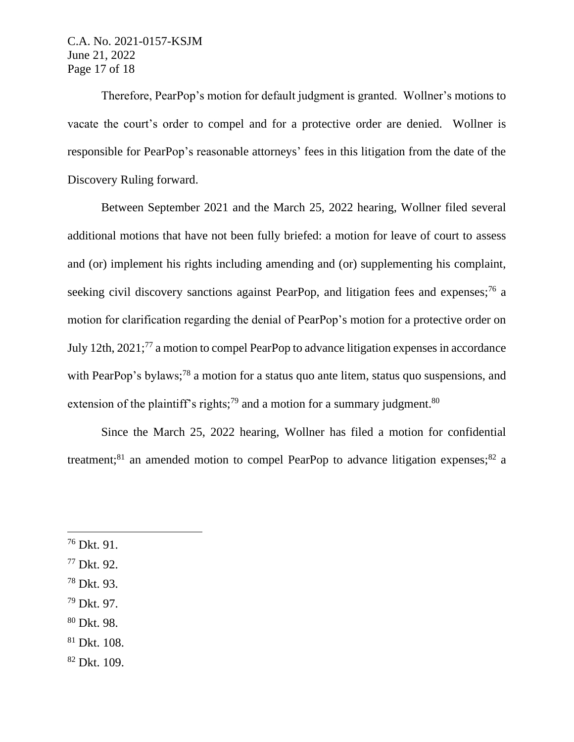C.A. No. 2021-0157-KSJM June 21, 2022 Page 17 of 18

Therefore, PearPop's motion for default judgment is granted. Wollner's motions to vacate the court's order to compel and for a protective order are denied. Wollner is responsible for PearPop's reasonable attorneys' fees in this litigation from the date of the Discovery Ruling forward.

Between September 2021 and the March 25, 2022 hearing, Wollner filed several additional motions that have not been fully briefed: a motion for leave of court to assess and (or) implement his rights including amending and (or) supplementing his complaint, seeking civil discovery sanctions against PearPop, and litigation fees and expenses;<sup>76</sup> a motion for clarification regarding the denial of PearPop's motion for a protective order on July 12th, 2021;<sup>77</sup> a motion to compel PearPop to advance litigation expenses in accordance with PearPop's bylaws;<sup>78</sup> a motion for a status quo ante litem, status quo suspensions, and extension of the plaintiff's rights;<sup>79</sup> and a motion for a summary judgment.<sup>80</sup>

Since the March 25, 2022 hearing, Wollner has filed a motion for confidential treatment;<sup>81</sup> an amended motion to compel PearPop to advance litigation expenses;<sup>82</sup> a

- <sup>78</sup> Dkt. 93.
- $79$  Dkt. 97.
- <sup>80</sup> Dkt. 98.
- <sup>81</sup> Dkt. 108.
- <sup>82</sup> Dkt. 109.

<sup>76</sup> Dkt. 91.

<sup>77</sup> Dkt. 92.